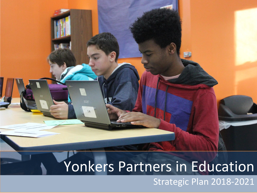# Yonkers Partners in Education

 $14$ 

Strategic Plan 2018-2021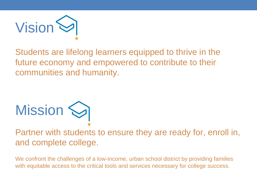

Students are lifelong learners equipped to thrive in the future economy and empowered to contribute to their communities and humanity.



Partner with students to ensure they are ready for, enroll in, and complete college.

We confront the challenges of a low-income, urban school district by providing families with equitable access to the critical tools and services necessary for college success.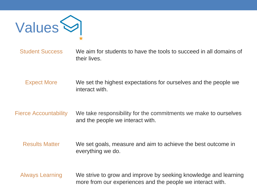

Student Success We aim for students to have the tools to succeed in all domains of their lives.

Expect More We set the highest expectations for ourselves and the people we interact with.

Fierce Accountability We take responsibility for the commitments we make to ourselves and the people we interact with.

Results Matter We set goals, measure and aim to achieve the best outcome in everything we do.

Always Learning We strive to grow and improve by seeking knowledge and learning more from our experiences and the people we interact with.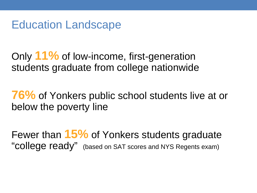Education Landscape

Only **11%** of low-income, first-generation students graduate from college nationwide

**76%** of Yonkers public school students live at or below the poverty line

Fewer than **15%** of Yonkers students graduate "COllege ready" (based on SAT scores and NYS Regents exam)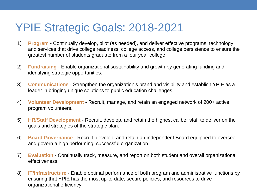## YPIE Strategic Goals: 2018-2021

- 1) **Program** Continually develop, pilot (as needed), and deliver effective programs, technology, and services that drive college readiness, college access, and college persistence to ensure the greatest number of students graduate from a four year college.
- 2) **Fundraising** Enable organizational sustainability and growth by generating funding and identifying strategic opportunities.
- 3) **Communications** Strengthen the organization's brand and visibility and establish YPIE as a leader in bringing unique solutions to public education challenges.
- 4) **Volunteer Development** Recruit, manage, and retain an engaged network of 200+ active program volunteers.
- 5) **HR/Staff Development** Recruit, develop, and retain the highest caliber staff to deliver on the goals and strategies of the strategic plan.
- 6) **Board Governance** Recruit, develop, and retain an independent Board equipped to oversee and govern a high performing, successful organization.
- 7) **Evaluation** Continually track, measure, and report on both student and overall organizational effectiveness.
- 8) **IT/Infrastructure** Enable optimal performance of both program and administrative functions by ensuring that YPIE has the most up-to-date, secure policies, and resources to drive organizational efficiency.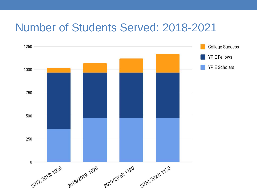#### Number of Students Served: 2018-2021

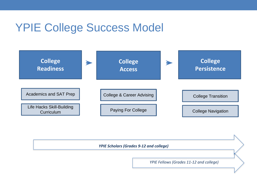### YPIE College Success Model



#### *YPIE Scholars (Grades 9-12 and college)*

*YPIE Fellows (Grades 11-12 and college)*